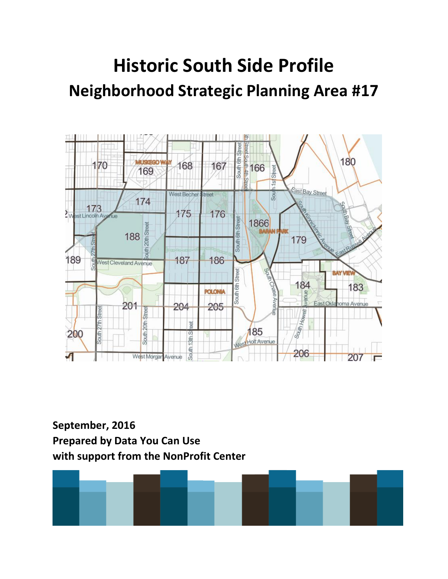# **Historic South Side Profile Neighborhood Strategic Planning Area #17**



**September, 2016 Prepared by Data You Can Use with support from the NonProfit Center**

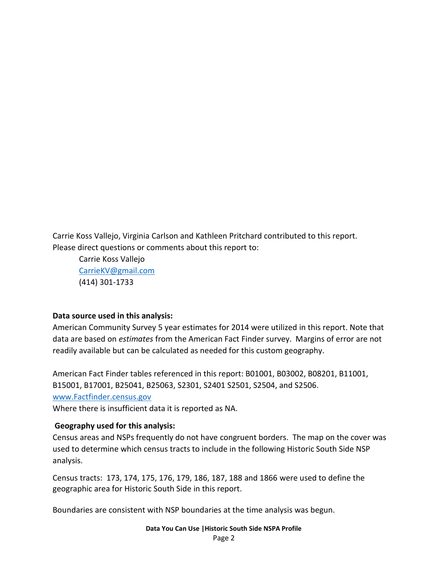Carrie Koss Vallejo, Virginia Carlson and Kathleen Pritchard contributed to this report. Please direct questions or comments about this report to:

Carrie Koss Vallejo [CarrieKV@gmail.com](mailto:CarrieKV@gmail.com) (414) 301-1733

#### **Data source used in this analysis:**

American Community Survey 5 year estimates for 2014 were utilized in this report. Note that data are based on *estimates* from the American Fact Finder survey. Margins of error are not readily available but can be calculated as needed for this custom geography.

American Fact Finder tables referenced in this report: B01001, B03002, B08201, B11001, B15001, B17001, B25041, B25063, S2301, S2401 S2501, S2504, and S2506. [www.Factfinder.census.gov](http://www.factfinder.census.gov/) Where there is insufficient data it is reported as NA.

#### **Geography used for this analysis:**

Census areas and NSPs frequently do not have congruent borders. The map on the cover was used to determine which census tracts to include in the following Historic South Side NSP analysis.

Census tracts: 173, 174, 175, 176, 179, 186, 187, 188 and 1866 were used to define the geographic area for Historic South Side in this report.

Boundaries are consistent with NSP boundaries at the time analysis was begun.

**Data You Can Use |Historic South Side NSPA Profile** Page 2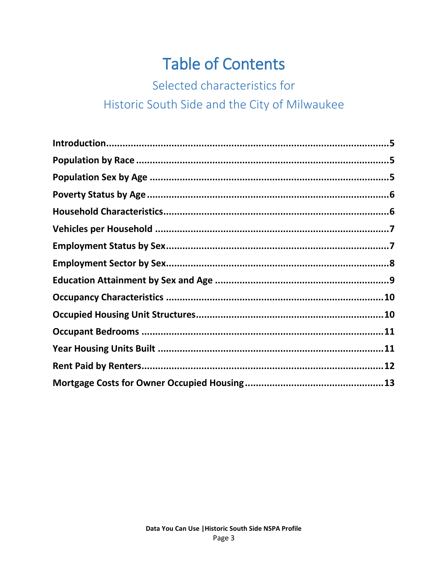# **Table of Contents**

Selected characteristics for

## Historic South Side and the City of Milwaukee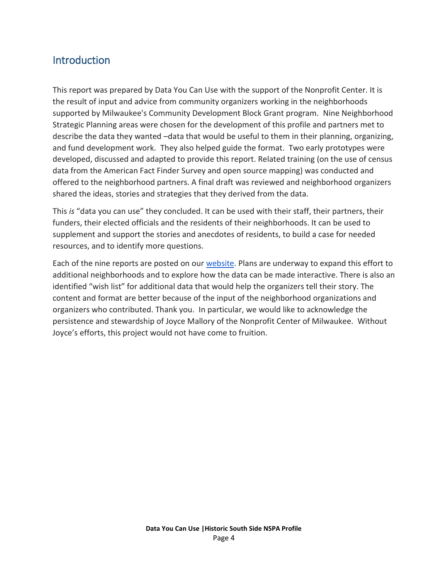#### **Introduction**

This report was prepared by Data You Can Use with the support of the Nonprofit Center. It is the result of input and advice from community organizers working in the neighborhoods supported by Milwaukee's Community Development Block Grant program. Nine Neighborhood Strategic Planning areas were chosen for the development of this profile and partners met to describe the data they wanted –data that would be useful to them in their planning, organizing, and fund development work. They also helped guide the format. Two early prototypes were developed, discussed and adapted to provide this report. Related training (on the use of census data from the American Fact Finder Survey and open source mapping) was conducted and offered to the neighborhood partners. A final draft was reviewed and neighborhood organizers shared the ideas, stories and strategies that they derived from the data.

This *is* "data you can use" they concluded. It can be used with their staff, their partners, their funders, their elected officials and the residents of their neighborhoods. It can be used to supplement and support the stories and anecdotes of residents, to build a case for needed resources, and to identify more questions.

Each of the nine reports are posted on our [website.](http://datayoucanuse.org/) Plans are underway to expand this effort to additional neighborhoods and to explore how the data can be made interactive. There is also an identified "wish list" for additional data that would help the organizers tell their story. The content and format are better because of the input of the neighborhood organizations and organizers who contributed. Thank you. In particular, we would like to acknowledge the persistence and stewardship of Joyce Mallory of the Nonprofit Center of Milwaukee. Without Joyce's efforts, this project would not have come to fruition.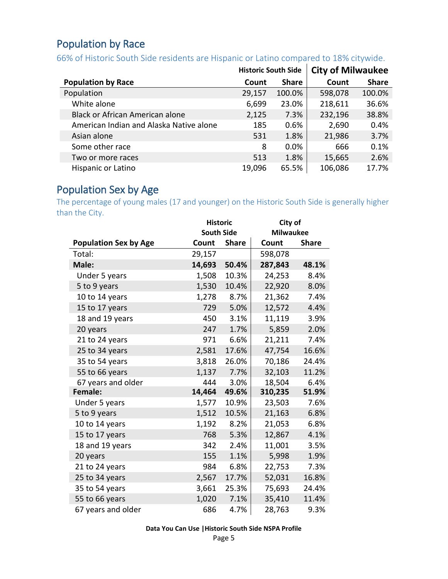## <span id="page-4-0"></span>Population by Race

## 66% of Historic South Side residents are Hispanic or Latino compared to 18% citywide.

|                                         | <b>Historic South Side</b> |              | <b>City of Milwaukee</b> |              |
|-----------------------------------------|----------------------------|--------------|--------------------------|--------------|
| <b>Population by Race</b>               | Count                      | <b>Share</b> | Count                    | <b>Share</b> |
| Population                              | 29,157                     | 100.0%       | 598,078                  | 100.0%       |
| White alone                             | 6,699                      | 23.0%        | 218,611                  | 36.6%        |
| Black or African American alone         | 2,125                      | 7.3%         | 232,196                  | 38.8%        |
| American Indian and Alaska Native alone | 185                        | 0.6%         | 2,690                    | 0.4%         |
| Asian alone                             | 531                        | 1.8%         | 21,986                   | 3.7%         |
| Some other race                         | 8                          | $0.0\%$      | 666                      | 0.1%         |
| Two or more races                       | 513                        | 1.8%         | 15,665                   | 2.6%         |
| Hispanic or Latino                      | 19,096                     | 65.5%        | 106,086                  | 17.7%        |

## <span id="page-4-1"></span>Population Sex by Age

The percentage of young males (17 and younger) on the Historic South Side is generally higher than the City.

|                              |                   | <b>Historic</b> |                  | City of      |
|------------------------------|-------------------|-----------------|------------------|--------------|
|                              | <b>South Side</b> |                 | <b>Milwaukee</b> |              |
| <b>Population Sex by Age</b> | Count             | <b>Share</b>    | Count            | <b>Share</b> |
| Total:                       | 29,157            |                 | 598,078          |              |
| Male:                        | 14,693            | 50.4%           | 287,843          | 48.1%        |
| Under 5 years                | 1,508             | 10.3%           | 24,253           | 8.4%         |
| 5 to 9 years                 | 1,530             | 10.4%           | 22,920           | 8.0%         |
| 10 to 14 years               | 1,278             | 8.7%            | 21,362           | 7.4%         |
| 15 to 17 years               | 729               | 5.0%            | 12,572           | 4.4%         |
| 18 and 19 years              | 450               | 3.1%            | 11,119           | 3.9%         |
| 20 years                     | 247               | 1.7%            | 5,859            | 2.0%         |
| 21 to 24 years               | 971               | 6.6%            | 21,211           | 7.4%         |
| 25 to 34 years               | 2,581             | 17.6%           | 47,754           | 16.6%        |
| 35 to 54 years               | 3,818             | 26.0%           | 70,186           | 24.4%        |
| 55 to 66 years               | 1,137             | 7.7%            | 32,103           | 11.2%        |
| 67 years and older           | 444               | 3.0%            | 18,504           | 6.4%         |
| Female:                      | 14,464            | 49.6%           | 310,235          | 51.9%        |
| Under 5 years                | 1,577             | 10.9%           | 23,503           | 7.6%         |
| 5 to 9 years                 | 1,512             | 10.5%           | 21,163           | 6.8%         |
| 10 to 14 years               | 1,192             | 8.2%            | 21,053           | 6.8%         |
| 15 to 17 years               | 768               | 5.3%            | 12,867           | 4.1%         |
| 18 and 19 years              | 342               | 2.4%            | 11,001           | 3.5%         |
| 20 years                     | 155               | 1.1%            | 5,998            | 1.9%         |
| 21 to 24 years               | 984               | 6.8%            | 22,753           | 7.3%         |
| 25 to 34 years               | 2,567             | 17.7%           | 52,031           | 16.8%        |
| 35 to 54 years               | 3,661             | 25.3%           | 75,693           | 24.4%        |
| 55 to 66 years               | 1,020             | 7.1%            | 35,410           | 11.4%        |
| 67 years and older           | 686               | 4.7%            | 28,763           | 9.3%         |

**Data You Can Use |Historic South Side NSPA Profile**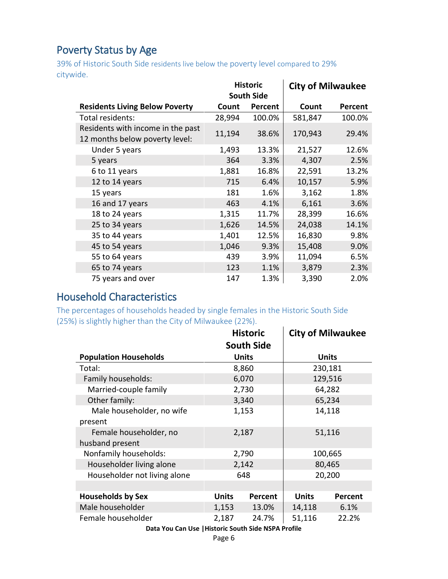### <span id="page-5-0"></span>Poverty Status by Age

39% of Historic South Side residents live below the poverty level compared to 29% citywide.  $\mathbf{r}$ 

|                                                                     | <b>Historic</b> |                   | <b>City of Milwaukee</b> |         |
|---------------------------------------------------------------------|-----------------|-------------------|--------------------------|---------|
|                                                                     |                 | <b>South Side</b> |                          |         |
| <b>Residents Living Below Poverty</b>                               | Count           | Percent           | Count                    | Percent |
| Total residents:                                                    | 28,994          | 100.0%            | 581,847                  | 100.0%  |
| Residents with income in the past<br>12 months below poverty level: | 11,194          | 38.6%             | 170,943                  | 29.4%   |
| Under 5 years                                                       | 1,493           | 13.3%             | 21,527                   | 12.6%   |
| 5 years                                                             | 364             | 3.3%              | 4,307                    | 2.5%    |
| 6 to 11 years                                                       | 1,881           | 16.8%             | 22,591                   | 13.2%   |
| 12 to 14 years                                                      | 715             | 6.4%              | 10,157                   | 5.9%    |
| 15 years                                                            | 181             | 1.6%              | 3,162                    | 1.8%    |
| 16 and 17 years                                                     | 463             | 4.1%              | 6,161                    | 3.6%    |
| 18 to 24 years                                                      | 1,315           | 11.7%             | 28,399                   | 16.6%   |
| 25 to 34 years                                                      | 1,626           | 14.5%             | 24,038                   | 14.1%   |
| 35 to 44 years                                                      | 1,401           | 12.5%             | 16,830                   | 9.8%    |
| 45 to 54 years                                                      | 1,046           | 9.3%              | 15,408                   | 9.0%    |
| 55 to 64 years                                                      | 439             | 3.9%              | 11,094                   | 6.5%    |
| 65 to 74 years                                                      | 123             | 1.1%              | 3,879                    | 2.3%    |
| 75 years and over                                                   | 147             | 1.3%              | 3,390                    | 2.0%    |

## <span id="page-5-1"></span>Household Characteristics

The percentages of households headed by single females in the Historic South Side (25%) is slightly higher than the City of Milwaukee (22%).  $\ddot{\phantom{a}}$ 

|                              | <b>Historic</b> |                   |              | <b>City of Milwaukee</b> |
|------------------------------|-----------------|-------------------|--------------|--------------------------|
|                              |                 | <b>South Side</b> |              |                          |
| <b>Population Households</b> |                 | <b>Units</b>      |              | <b>Units</b>             |
| Total:                       |                 | 8,860             |              | 230,181                  |
| Family households:           |                 | 6,070             |              | 129,516                  |
| Married-couple family        |                 | 2,730             |              | 64,282                   |
| Other family:                |                 | 3,340             |              | 65,234                   |
| Male householder, no wife    |                 | 1,153             | 14,118       |                          |
| present                      |                 |                   |              |                          |
| Female householder, no       |                 | 2,187             | 51,116       |                          |
| husband present              |                 |                   |              |                          |
| Nonfamily households:        |                 | 2,790             | 100,665      |                          |
| Householder living alone     |                 | 2,142             | 80,465       |                          |
| Householder not living alone |                 | 648               |              | 20,200                   |
|                              |                 |                   |              |                          |
| <b>Households by Sex</b>     | <b>Units</b>    | Percent           | <b>Units</b> | Percent                  |
| Male householder             | 1,153           | 13.0%             | 14,118       | 6.1%                     |
| Female householder           | 2,187           | 24.7%             | 51,116       | 22.2%                    |
|                              |                 |                   |              |                          |

**Data You Can Use |Historic South Side NSPA Profile**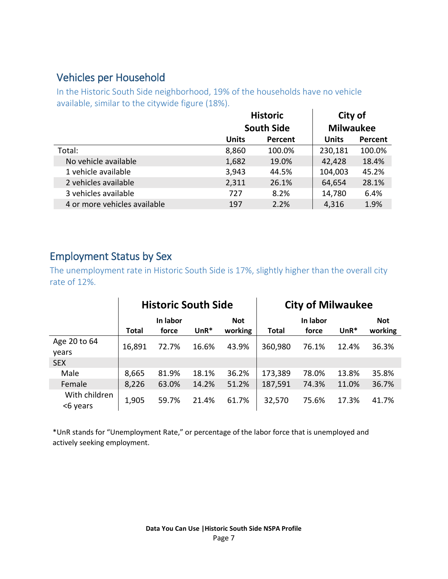#### <span id="page-6-0"></span>Vehicles per Household

In the Historic South Side neighborhood, 19% of the households have no vehicle available, similar to the citywide figure (18%).  $\mathbf{L}$ 

|              |         | City of<br><b>Milwaukee</b>          |         |  |
|--------------|---------|--------------------------------------|---------|--|
|              |         |                                      |         |  |
| <b>Units</b> | Percent | <b>Units</b>                         | Percent |  |
| 8,860        | 100.0%  | 230,181                              | 100.0%  |  |
| 1,682        | 19.0%   | 42,428                               | 18.4%   |  |
| 3,943        | 44.5%   | 104,003                              | 45.2%   |  |
| 2,311        | 26.1%   | 64,654                               | 28.1%   |  |
| 727          | 8.2%    | 14,780                               | 6.4%    |  |
| 197          | 2.2%    | 4,316                                | 1.9%    |  |
|              |         | <b>Historic</b><br><b>South Side</b> |         |  |

#### <span id="page-6-1"></span>Employment Status by Sex

The unemployment rate in Historic South Side is 17%, slightly higher than the overall city rate of 12%.

|                           |              | <b>Historic South Side</b> |        |                       | <b>City of Milwaukee</b> |                   |        |                       |
|---------------------------|--------------|----------------------------|--------|-----------------------|--------------------------|-------------------|--------|-----------------------|
|                           | <b>Total</b> | In labor<br>force          | $UnR*$ | <b>Not</b><br>working | <b>Total</b>             | In labor<br>force | $UnR*$ | <b>Not</b><br>working |
| Age 20 to 64<br>years     | 16,891       | 72.7%                      | 16.6%  | 43.9%                 | 360,980                  | 76.1%             | 12.4%  | 36.3%                 |
| <b>SEX</b>                |              |                            |        |                       |                          |                   |        |                       |
| Male                      | 8,665        | 81.9%                      | 18.1%  | 36.2%                 | 173,389                  | 78.0%             | 13.8%  | 35.8%                 |
| Female                    | 8,226        | 63.0%                      | 14.2%  | 51.2%                 | 187,591                  | 74.3%             | 11.0%  | 36.7%                 |
| With children<br><6 years | 1,905        | 59.7%                      | 21.4%  | 61.7%                 | 32,570                   | 75.6%             | 17.3%  | 41.7%                 |

\*UnR stands for "Unemployment Rate," or percentage of the labor force that is unemployed and actively seeking employment.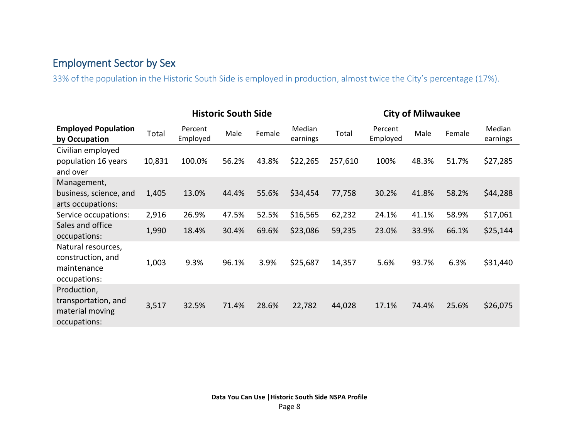## Employment Sector by Sex

33% of the population in the Historic South Side is employed in production, almost twice the City's percentage (17%).

<span id="page-7-0"></span>

|                                                                        | <b>Historic South Side</b> |                     |       |        |                    | <b>City of Milwaukee</b> |                     |       |        |                    |
|------------------------------------------------------------------------|----------------------------|---------------------|-------|--------|--------------------|--------------------------|---------------------|-------|--------|--------------------|
| <b>Employed Population</b><br>by Occupation                            | Total                      | Percent<br>Employed | Male  | Female | Median<br>earnings | Total                    | Percent<br>Employed | Male  | Female | Median<br>earnings |
| Civilian employed<br>population 16 years<br>and over                   | 10,831                     | 100.0%              | 56.2% | 43.8%  | \$22,265           | 257,610                  | 100%                | 48.3% | 51.7%  | \$27,285           |
| Management,<br>business, science, and<br>arts occupations:             | 1,405                      | 13.0%               | 44.4% | 55.6%  | \$34,454           | 77,758                   | 30.2%               | 41.8% | 58.2%  | \$44,288           |
| Service occupations:                                                   | 2,916                      | 26.9%               | 47.5% | 52.5%  | \$16,565           | 62,232                   | 24.1%               | 41.1% | 58.9%  | \$17,061           |
| Sales and office<br>occupations:                                       | 1,990                      | 18.4%               | 30.4% | 69.6%  | \$23,086           | 59,235                   | 23.0%               | 33.9% | 66.1%  | \$25,144           |
| Natural resources,<br>construction, and<br>maintenance<br>occupations: | 1,003                      | 9.3%                | 96.1% | 3.9%   | \$25,687           | 14,357                   | 5.6%                | 93.7% | 6.3%   | \$31,440           |
| Production,<br>transportation, and<br>material moving<br>occupations:  | 3,517                      | 32.5%               | 71.4% | 28.6%  | 22,782             | 44,028                   | 17.1%               | 74.4% | 25.6%  | \$26,075           |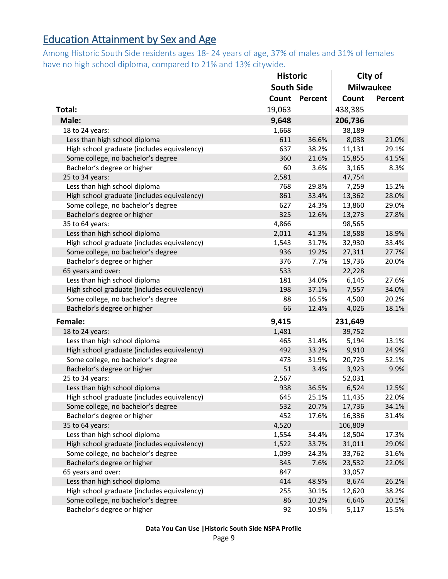## <span id="page-8-0"></span>Education Attainment by Sex and Age

Among Historic South Side residents ages 18- 24 years of age, 37% of males and 31% of females have no high school diploma, compared to 21% and 13% citywide.  $\mathbf{r}$ 

|                                             | <b>Historic</b>   |         | City of |                  |  |
|---------------------------------------------|-------------------|---------|---------|------------------|--|
|                                             | <b>South Side</b> |         |         | <b>Milwaukee</b> |  |
|                                             | Count             | Percent | Count   | Percent          |  |
| Total:                                      | 19,063            |         | 438,385 |                  |  |
| Male:                                       | 9,648             |         | 206,736 |                  |  |
| 18 to 24 years:                             | 1,668             |         | 38,189  |                  |  |
| Less than high school diploma               | 611               | 36.6%   | 8,038   | 21.0%            |  |
| High school graduate (includes equivalency) | 637               | 38.2%   | 11,131  | 29.1%            |  |
| Some college, no bachelor's degree          | 360               | 21.6%   | 15,855  | 41.5%            |  |
| Bachelor's degree or higher                 | 60                | 3.6%    | 3,165   | 8.3%             |  |
| 25 to 34 years:                             | 2,581             |         | 47,754  |                  |  |
| Less than high school diploma               | 768               | 29.8%   | 7,259   | 15.2%            |  |
| High school graduate (includes equivalency) | 861               | 33.4%   | 13,362  | 28.0%            |  |
| Some college, no bachelor's degree          | 627               | 24.3%   | 13,860  | 29.0%            |  |
| Bachelor's degree or higher                 | 325               | 12.6%   | 13,273  | 27.8%            |  |
| 35 to 64 years:                             | 4,866             |         | 98,565  |                  |  |
| Less than high school diploma               | 2,011             | 41.3%   | 18,588  | 18.9%            |  |
| High school graduate (includes equivalency) | 1,543             | 31.7%   | 32,930  | 33.4%            |  |
| Some college, no bachelor's degree          | 936               | 19.2%   | 27,311  | 27.7%            |  |
| Bachelor's degree or higher                 | 376               | 7.7%    | 19,736  | 20.0%            |  |
| 65 years and over:                          | 533               |         | 22,228  |                  |  |
| Less than high school diploma               | 181               | 34.0%   | 6,145   | 27.6%            |  |
| High school graduate (includes equivalency) | 198               | 37.1%   | 7,557   | 34.0%            |  |
| Some college, no bachelor's degree          | 88                | 16.5%   | 4,500   | 20.2%            |  |
| Bachelor's degree or higher                 | 66                | 12.4%   | 4,026   | 18.1%            |  |
| Female:                                     | 9,415             |         | 231,649 |                  |  |
| 18 to 24 years:                             | 1,481             |         | 39,752  |                  |  |
| Less than high school diploma               | 465               | 31.4%   | 5,194   | 13.1%            |  |
| High school graduate (includes equivalency) | 492               | 33.2%   | 9,910   | 24.9%            |  |
| Some college, no bachelor's degree          | 473               | 31.9%   | 20,725  | 52.1%            |  |
| Bachelor's degree or higher                 | 51                | 3.4%    | 3,923   | 9.9%             |  |
| 25 to 34 years:                             | 2,567             |         | 52,031  |                  |  |
| Less than high school diploma               | 938               | 36.5%   | 6,524   | 12.5%            |  |
| High school graduate (includes equivalency) | 645               | 25.1%   | 11,435  | 22.0%            |  |
| Some college, no bachelor's degree          | 532               | 20.7%   | 17,736  | 34.1%            |  |
| Bachelor's degree or higher                 | 452               | 17.6%   | 16,336  | 31.4%            |  |
| 35 to 64 years:                             | 4,520             |         | 106,809 |                  |  |
| Less than high school diploma               | 1,554             | 34.4%   | 18,504  | 17.3%            |  |
| High school graduate (includes equivalency) | 1,522             | 33.7%   | 31,011  | 29.0%            |  |
| Some college, no bachelor's degree          | 1,099             | 24.3%   | 33,762  | 31.6%            |  |
| Bachelor's degree or higher                 | 345               | 7.6%    | 23,532  | 22.0%            |  |
| 65 years and over:                          | 847               |         | 33,057  |                  |  |
| Less than high school diploma               | 414               | 48.9%   | 8,674   | 26.2%            |  |
| High school graduate (includes equivalency) | 255               | 30.1%   | 12,620  | 38.2%            |  |
| Some college, no bachelor's degree          | 86                | 10.2%   | 6,646   | 20.1%            |  |
| Bachelor's degree or higher                 | 92                | 10.9%   | 5,117   | 15.5%            |  |

**Data You Can Use |Historic South Side NSPA Profile**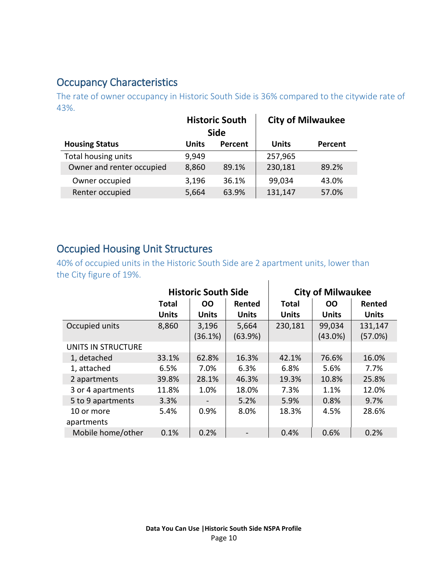### <span id="page-9-1"></span>Occupancy Characteristics

The rate of owner occupancy in Historic South Side is 36% compared to the citywide rate of 43%.  $\mathbf{r}$ 

|                           | <b>Historic South</b><br><b>Side</b> |         |              | <b>City of Milwaukee</b> |
|---------------------------|--------------------------------------|---------|--------------|--------------------------|
| <b>Housing Status</b>     | Units                                | Percent | <b>Units</b> | <b>Percent</b>           |
| Total housing units       | 9,949                                |         | 257,965      |                          |
| Owner and renter occupied | 8,860                                | 89.1%   | 230,181      | 89.2%                    |
| Owner occupied            | 3,196                                | 36.1%   | 99,034       | 43.0%                    |
| Renter occupied           | 5,664                                | 63.9%   | 131,147      | 57.0%                    |

#### <span id="page-9-0"></span>Occupied Housing Unit Structures

40% of occupied units in the Historic South Side are 2 apartment units, lower than the City figure of 19%.  $\mathbf{I}$ 

|                    |              | <b>Historic South Side</b> |              | <b>City of Milwaukee</b> |              |              |
|--------------------|--------------|----------------------------|--------------|--------------------------|--------------|--------------|
|                    | <b>Total</b> | <b>OO</b>                  | Rented       | <b>Total</b>             | <b>OO</b>    | Rented       |
|                    | <b>Units</b> | <b>Units</b>               | <b>Units</b> | <b>Units</b>             | <b>Units</b> | <b>Units</b> |
| Occupied units     | 8,860        | 3,196                      | 5,664        | 230,181                  | 99,034       | 131,147      |
|                    |              | (36.1%)                    | (63.9%)      |                          | $(43.0\%)$   | (57.0%)      |
| UNITS IN STRUCTURE |              |                            |              |                          |              |              |
| 1, detached        | 33.1%        | 62.8%                      | 16.3%        | 42.1%                    | 76.6%        | 16.0%        |
| 1, attached        | 6.5%         | 7.0%                       | 6.3%         | 6.8%                     | 5.6%         | 7.7%         |
| 2 apartments       | 39.8%        | 28.1%                      | 46.3%        | 19.3%                    | 10.8%        | 25.8%        |
| 3 or 4 apartments  | 11.8%        | 1.0%                       | 18.0%        | 7.3%                     | 1.1%         | 12.0%        |
| 5 to 9 apartments  | 3.3%         | $\overline{\phantom{a}}$   | 5.2%         | 5.9%                     | 0.8%         | 9.7%         |
| 10 or more         | 5.4%         | 0.9%                       | 8.0%         | 18.3%                    | 4.5%         | 28.6%        |
| apartments         |              |                            |              |                          |              |              |
| Mobile home/other  | 0.1%         | 0.2%                       |              | 0.4%                     | 0.6%         | 0.2%         |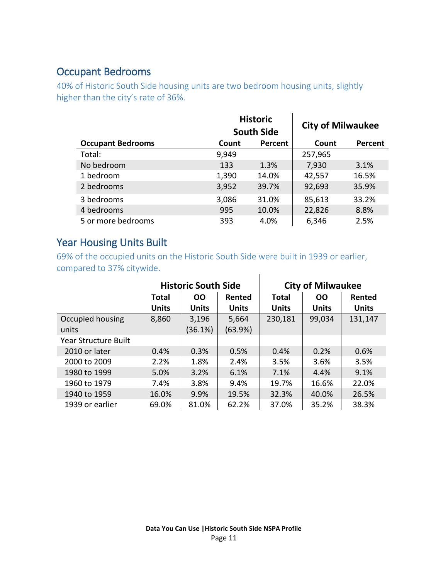#### <span id="page-10-0"></span>Occupant Bedrooms

40% of Historic South Side housing units are two bedroom housing units, slightly higher than the city's rate of 36%.

|                          |       | <b>Historic</b><br><b>South Side</b> | <b>City of Milwaukee</b> |         |
|--------------------------|-------|--------------------------------------|--------------------------|---------|
| <b>Occupant Bedrooms</b> | Count | Percent                              | Count                    | Percent |
| Total:                   | 9,949 |                                      | 257,965                  |         |
| No bedroom               | 133   | 1.3%                                 | 7,930                    | 3.1%    |
| 1 bedroom                | 1,390 | 14.0%                                | 42,557                   | 16.5%   |
| 2 bedrooms               | 3,952 | 39.7%                                | 92,693                   | 35.9%   |
| 3 bedrooms               | 3,086 | 31.0%                                | 85,613                   | 33.2%   |
| 4 bedrooms               | 995   | 10.0%                                | 22,826                   | 8.8%    |
| 5 or more bedrooms       | 393   | 4.0%                                 | 6,346                    | 2.5%    |

#### <span id="page-10-1"></span>Year Housing Units Built

69% of the occupied units on the Historic South Side were built in 1939 or earlier, compared to 37% citywide.  $\mathbf{I}$ 

|                             |              | <b>Historic South Side</b> |              |              | <b>City of Milwaukee</b> |              |  |
|-----------------------------|--------------|----------------------------|--------------|--------------|--------------------------|--------------|--|
|                             | <b>Total</b> | <b>OO</b>                  | Rented       | Total        | 00                       | Rented       |  |
|                             | <b>Units</b> | <b>Units</b>               | <b>Units</b> | <b>Units</b> | <b>Units</b>             | <b>Units</b> |  |
| Occupied housing            | 8,860        | 3,196                      | 5,664        | 230,181      | 99,034                   | 131,147      |  |
| units                       |              | (36.1%)                    | (63.9%)      |              |                          |              |  |
| <b>Year Structure Built</b> |              |                            |              |              |                          |              |  |
| 2010 or later               | 0.4%         | 0.3%                       | 0.5%         | 0.4%         | 0.2%                     | 0.6%         |  |
| 2000 to 2009                | 2.2%         | 1.8%                       | 2.4%         | 3.5%         | 3.6%                     | 3.5%         |  |
| 1980 to 1999                | 5.0%         | 3.2%                       | 6.1%         | 7.1%         | 4.4%                     | 9.1%         |  |
| 1960 to 1979                | 7.4%         | 3.8%                       | 9.4%         | 19.7%        | 16.6%                    | 22.0%        |  |
| 1940 to 1959                | 16.0%        | 9.9%                       | 19.5%        | 32.3%        | 40.0%                    | 26.5%        |  |
| 1939 or earlier             | 69.0%        | 81.0%                      | 62.2%        | 37.0%        | 35.2%                    | 38.3%        |  |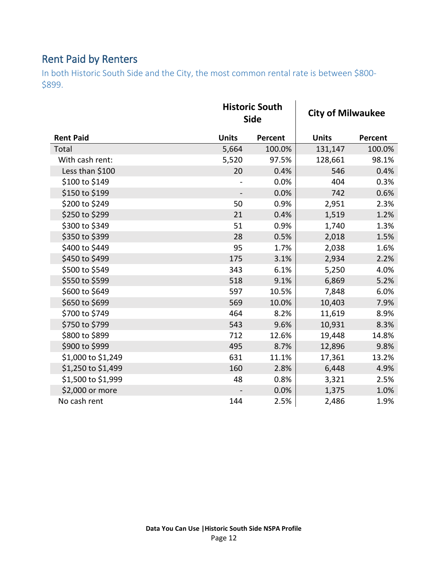## <span id="page-11-0"></span>Rent Paid by Renters

In both Historic South Side and the City, the most common rental rate is between \$800- \$899.

|                    |              | <b>Historic South</b><br><b>Side</b> |              | <b>City of Milwaukee</b> |  |
|--------------------|--------------|--------------------------------------|--------------|--------------------------|--|
| <b>Rent Paid</b>   | <b>Units</b> | <b>Percent</b>                       | <b>Units</b> | Percent                  |  |
| Total              | 5,664        | 100.0%                               | 131,147      | 100.0%                   |  |
| With cash rent:    | 5,520        | 97.5%                                | 128,661      | 98.1%                    |  |
| Less than \$100    | 20           | 0.4%                                 | 546          | 0.4%                     |  |
| \$100 to \$149     |              | 0.0%                                 | 404          | 0.3%                     |  |
| \$150 to \$199     |              | 0.0%                                 | 742          | 0.6%                     |  |
| \$200 to \$249     | 50           | 0.9%                                 | 2,951        | 2.3%                     |  |
| \$250 to \$299     | 21           | 0.4%                                 | 1,519        | 1.2%                     |  |
| \$300 to \$349     | 51           | 0.9%                                 | 1,740        | 1.3%                     |  |
| \$350 to \$399     | 28           | 0.5%                                 | 2,018        | 1.5%                     |  |
| \$400 to \$449     | 95           | 1.7%                                 | 2,038        | 1.6%                     |  |
| \$450 to \$499     | 175          | 3.1%                                 | 2,934        | 2.2%                     |  |
| \$500 to \$549     | 343          | 6.1%                                 | 5,250        | 4.0%                     |  |
| \$550 to \$599     | 518          | 9.1%                                 | 6,869        | 5.2%                     |  |
| \$600 to \$649     | 597          | 10.5%                                | 7,848        | 6.0%                     |  |
| \$650 to \$699     | 569          | 10.0%                                | 10,403       | 7.9%                     |  |
| \$700 to \$749     | 464          | 8.2%                                 | 11,619       | 8.9%                     |  |
| \$750 to \$799     | 543          | 9.6%                                 | 10,931       | 8.3%                     |  |
| \$800 to \$899     | 712          | 12.6%                                | 19,448       | 14.8%                    |  |
| \$900 to \$999     | 495          | 8.7%                                 | 12,896       | 9.8%                     |  |
| \$1,000 to \$1,249 | 631          | 11.1%                                | 17,361       | 13.2%                    |  |
| \$1,250 to \$1,499 | 160          | 2.8%                                 | 6,448        | 4.9%                     |  |
| \$1,500 to \$1,999 | 48           | 0.8%                                 | 3,321        | 2.5%                     |  |
| \$2,000 or more    |              | 0.0%                                 | 1,375        | 1.0%                     |  |
| No cash rent       | 144          | 2.5%                                 | 2,486        | 1.9%                     |  |